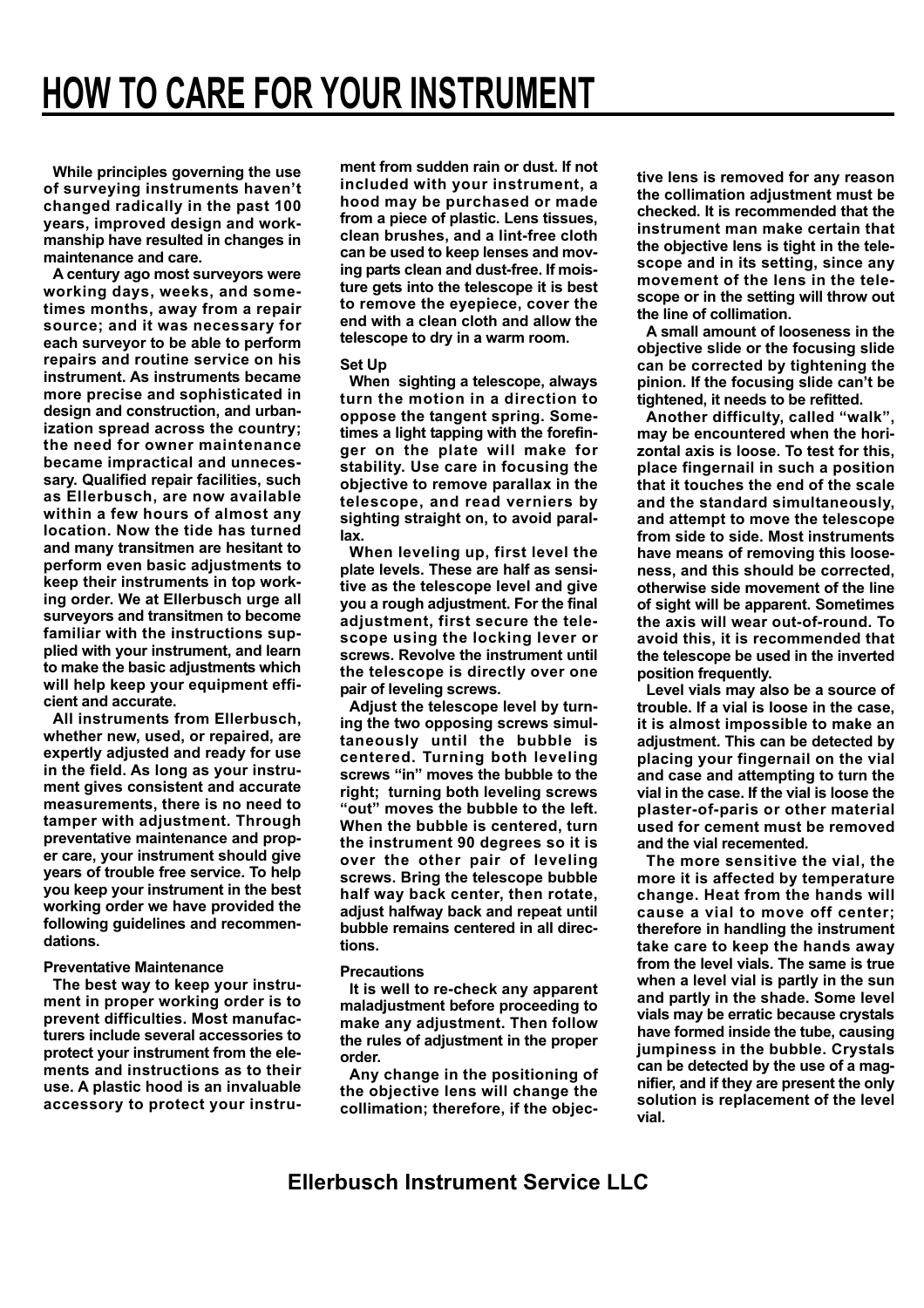**While principles governing the use of surveying instruments haven't changed radically in the past 100 years, improved design and workmanship have resulted in changes in maintenance and care.**

**A century ago most surveyors were working days, weeks, and sometimes months, away from a repair source; and it was necessary for each surveyor to be able to perform repairs and routine service on his instrument. As instruments became more precise and sophisticated in design and construction, and urbanization spread across the country; the need for owner maintenance became impractical and unnecessary. Qualified repair facilities, such as Ellerbusch, are now available within a few hours of almost any location. Now the tide has turned and many transitmen are hesitant to perform even basic adjustments to keep their instruments in top working order. We at Ellerbusch urge all surveyors and transitmen to become familiar with the instructions supplied with your instrument, and learn to make the basic adjustments which will help keep your equipment efficient and accurate.**

**All instruments from Ellerbusch, whether new, used, or repaired, are expertly adjusted and ready for use in the field. As long as your instrument gives consistent and accurate measurements, there is no need to tamper with adjustment. Through preventative maintenance and proper care, your instrument should give years of trouble free service. To help you keep your instrument in the best working order we have provided the following guidelines and recommendations.**

## **Preventative Maintenance**

**The best way to keep your instrument in proper working order is to prevent difficulties. Most manufacturers include several accessories to protect your instrument from the elements and instructions as to their use. A plastic hood is an invaluable accessory to protect your instru-** **ment from sudden rain or dust. If not included with your instrument, a hood may be purchased or made from a piece of plastic. Lens tissues, clean brushes, and a lint-free cloth can be used to keep lenses and moving parts clean and dust-free. If moisture gets into the telescope it is best to remove the eyepiece, cover the end with a clean cloth and allow the telescope to dry in a warm room.**

## **Set Up**

**When sighting a telescope, always turn the motion in a direction to oppose the tangent spring. Sometimes a light tapping with the forefinger on the plate will make for stability. Use care in focusing the objective to remove parallax in the telescope, and read verniers by sighting straight on, to avoid parallax.**

**When leveling up, first level the plate levels. These are half as sensitive as the telescope level and give you a rough adjustment. For the final adjustment, first secure the telescope using the locking lever or screws. Revolve the instrument until the telescope is directly over one pair of leveling screws.**

**Adjust the telescope level by turning the two opposing screws simultaneously until the bubble is centered. Turning both leveling screws "in" moves the bubble to the right; turning both leveling screws "out" moves the bubble to the left. When the bubble is centered, turn the instrument 90 degrees so it is over the other pair of leveling screws. Bring the telescope bubble half way back center, then rotate, adjust halfway back and repeat until bubble remains centered in all directions.**

## **Precautions**

**It is well to re-check any apparent maladjustment before proceeding to make any adjustment. Then follow the rules of adjustment in the proper order.**

**Any change in the positioning of the objective lens will change the collimation; therefore, if the objec-** **tive lens is removed for any reason the collimation adjustment must be checked. It is recommended that the instrument man make certain that the objective lens is tight in the telescope and in its setting, since any movement of the lens in the telescope or in the setting will throw out the line of collimation.**

**A small amount of looseness in the objective slide or the focusing slide can be corrected by tightening the pinion. If the focusing slide can't be tightened, it needs to be refitted.**

**Another difficulty, called "walk", may be encountered when the horizontal axis is loose. To test for this, place fingernail in such a position that it touches the end of the scale and the standard simultaneously, and attempt to move the telescope from side to side. Most instruments have means of removing this looseness, and this should be corrected, otherwise side movement of the line of sight will be apparent. Sometimes the axis will wear out-of-round. To avoid this, it is recommended that the telescope be used in the inverted position frequently.**

**Level vials may also be a source of trouble. If a vial is loose in the case, it is almost impossible to make an adjustment. This can be detected by placing your fingernail on the vial and case and attempting to turn the vial in the case. If the vial is loose the plaster-of-paris or other material used for cement must be removed and the vial recemented.**

**The more sensitive the vial, the more it is affected by temperature change. Heat from the hands will cause a vial to move off center; therefore in handling the instrument take care to keep the hands away from the level vials. The same is true when a level vial is partly in the sun and partly in the shade. Some level vials may be erratic because crystals have formed inside the tube, causing jumpiness in the bubble. Crystals can be detected by the use of a magnifier, and if they are present the only solution is replacement of the level vial.**